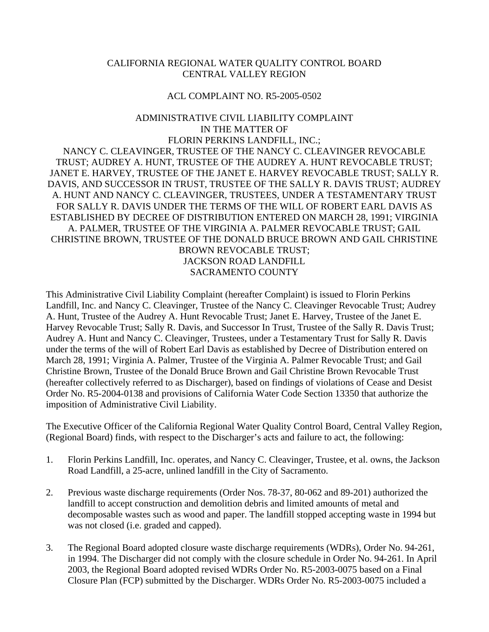### CALIFORNIA REGIONAL WATER QUALITY CONTROL BOARD CENTRAL VALLEY REGION

#### ACL COMPLAINT NO. R5-2005-0502

# ADMINISTRATIVE CIVIL LIABILITY COMPLAINT IN THE MATTER OF FLORIN PERKINS LANDFILL, INC.; NANCY C. CLEAVINGER, TRUSTEE OF THE NANCY C. CLEAVINGER REVOCABLE TRUST; AUDREY A. HUNT, TRUSTEE OF THE AUDREY A. HUNT REVOCABLE TRUST; JANET E. HARVEY, TRUSTEE OF THE JANET E. HARVEY REVOCABLE TRUST; SALLY R. DAVIS, AND SUCCESSOR IN TRUST, TRUSTEE OF THE SALLY R. DAVIS TRUST; AUDREY A. HUNT AND NANCY C. CLEAVINGER, TRUSTEES, UNDER A TESTAMENTARY TRUST FOR SALLY R. DAVIS UNDER THE TERMS OF THE WILL OF ROBERT EARL DAVIS AS ESTABLISHED BY DECREE OF DISTRIBUTION ENTERED ON MARCH 28, 1991; VIRGINIA A. PALMER, TRUSTEE OF THE VIRGINIA A. PALMER REVOCABLE TRUST; GAIL CHRISTINE BROWN, TRUSTEE OF THE DONALD BRUCE BROWN AND GAIL CHRISTINE BROWN REVOCABLE TRUST; JACKSON ROAD LANDFILL SACRAMENTO COUNTY

This Administrative Civil Liability Complaint (hereafter Complaint) is issued to Florin Perkins Landfill, Inc. and Nancy C. Cleavinger, Trustee of the Nancy C. Cleavinger Revocable Trust; Audrey A. Hunt, Trustee of the Audrey A. Hunt Revocable Trust; Janet E. Harvey, Trustee of the Janet E. Harvey Revocable Trust; Sally R. Davis, and Successor In Trust, Trustee of the Sally R. Davis Trust; Audrey A. Hunt and Nancy C. Cleavinger, Trustees, under a Testamentary Trust for Sally R. Davis under the terms of the will of Robert Earl Davis as established by Decree of Distribution entered on March 28, 1991; Virginia A. Palmer, Trustee of the Virginia A. Palmer Revocable Trust; and Gail Christine Brown, Trustee of the Donald Bruce Brown and Gail Christine Brown Revocable Trust (hereafter collectively referred to as Discharger), based on findings of violations of Cease and Desist Order No. R5-2004-0138 and provisions of California Water Code Section 13350 that authorize the imposition of Administrative Civil Liability.

The Executive Officer of the California Regional Water Quality Control Board, Central Valley Region, (Regional Board) finds, with respect to the Discharger's acts and failure to act, the following:

- 1. Florin Perkins Landfill, Inc. operates, and Nancy C. Cleavinger, Trustee, et al. owns, the Jackson Road Landfill, a 25-acre, unlined landfill in the City of Sacramento.
- 2. Previous waste discharge requirements (Order Nos. 78-37, 80-062 and 89-201) authorized the landfill to accept construction and demolition debris and limited amounts of metal and decomposable wastes such as wood and paper. The landfill stopped accepting waste in 1994 but was not closed (i.e. graded and capped).
- 3. The Regional Board adopted closure waste discharge requirements (WDRs), Order No. 94-261, in 1994. The Discharger did not comply with the closure schedule in Order No. 94-261. In April 2003, the Regional Board adopted revised WDRs Order No. R5-2003-0075 based on a Final Closure Plan (FCP) submitted by the Discharger. WDRs Order No. R5-2003-0075 included a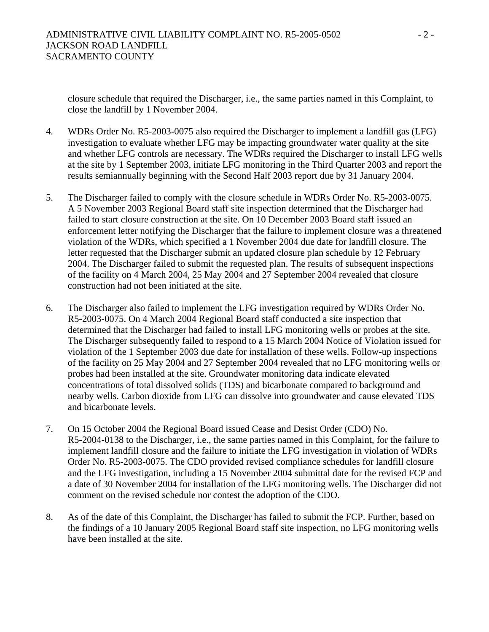closure schedule that required the Discharger, i.e., the same parties named in this Complaint, to close the landfill by 1 November 2004.

- 4. WDRs Order No. R5-2003-0075 also required the Discharger to implement a landfill gas (LFG) investigation to evaluate whether LFG may be impacting groundwater water quality at the site and whether LFG controls are necessary. The WDRs required the Discharger to install LFG wells at the site by 1 September 2003, initiate LFG monitoring in the Third Quarter 2003 and report the results semiannually beginning with the Second Half 2003 report due by 31 January 2004.
- 5. The Discharger failed to comply with the closure schedule in WDRs Order No. R5-2003-0075. A 5 November 2003 Regional Board staff site inspection determined that the Discharger had failed to start closure construction at the site. On 10 December 2003 Board staff issued an enforcement letter notifying the Discharger that the failure to implement closure was a threatened violation of the WDRs, which specified a 1 November 2004 due date for landfill closure. The letter requested that the Discharger submit an updated closure plan schedule by 12 February 2004. The Discharger failed to submit the requested plan. The results of subsequent inspections of the facility on 4 March 2004, 25 May 2004 and 27 September 2004 revealed that closure construction had not been initiated at the site.
- 6. The Discharger also failed to implement the LFG investigation required by WDRs Order No. R5-2003-0075. On 4 March 2004 Regional Board staff conducted a site inspection that determined that the Discharger had failed to install LFG monitoring wells or probes at the site. The Discharger subsequently failed to respond to a 15 March 2004 Notice of Violation issued for violation of the 1 September 2003 due date for installation of these wells. Follow-up inspections of the facility on 25 May 2004 and 27 September 2004 revealed that no LFG monitoring wells or probes had been installed at the site. Groundwater monitoring data indicate elevated concentrations of total dissolved solids (TDS) and bicarbonate compared to background and nearby wells. Carbon dioxide from LFG can dissolve into groundwater and cause elevated TDS and bicarbonate levels.
- 7. On 15 October 2004 the Regional Board issued Cease and Desist Order (CDO) No. R5-2004-0138 to the Discharger, i.e., the same parties named in this Complaint, for the failure to implement landfill closure and the failure to initiate the LFG investigation in violation of WDRs Order No. R5-2003-0075. The CDO provided revised compliance schedules for landfill closure and the LFG investigation, including a 15 November 2004 submittal date for the revised FCP and a date of 30 November 2004 for installation of the LFG monitoring wells. The Discharger did not comment on the revised schedule nor contest the adoption of the CDO.
- 8. As of the date of this Complaint, the Discharger has failed to submit the FCP. Further, based on the findings of a 10 January 2005 Regional Board staff site inspection, no LFG monitoring wells have been installed at the site.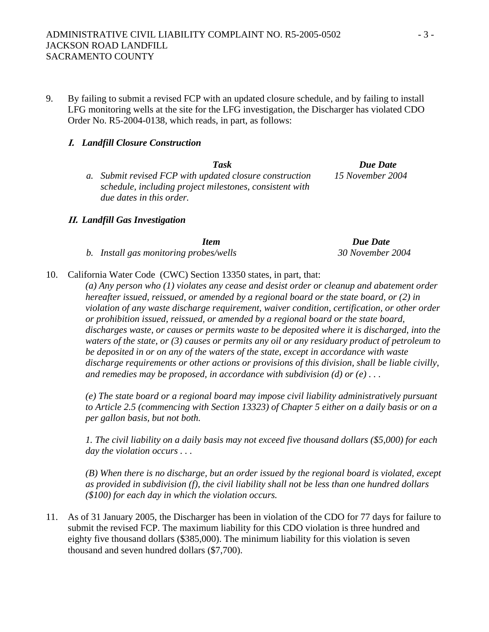9. By failing to submit a revised FCP with an updated closure schedule, and by failing to install LFG monitoring wells at the site for the LFG investigation, the Discharger has violated CDO Order No. R5-2004-0138, which reads, in part, as follows:

# **I.** *Landfill Closure Construction*

| <b>Task</b>                                             | Due Date         |
|---------------------------------------------------------|------------------|
| a. Submit revised FCP with updated closure construction | 15 November 2004 |
| schedule, including project milestones, consistent with |                  |
| due dates in this order.                                |                  |

## **II.** *Landfill Gas Investigation*

| Item                                   | Due Date         |
|----------------------------------------|------------------|
| b. Install gas monitoring probes/wells | 30 November 2004 |

10. California Water Code (CWC) Section 13350 states, in part, that:

*(a) Any person who (1) violates any cease and desist order or cleanup and abatement order hereafter issued, reissued, or amended by a regional board or the state board, or (2) in violation of any waste discharge requirement, waiver condition, certification, or other order or prohibition issued, reissued, or amended by a regional board or the state board, discharges waste, or causes or permits waste to be deposited where it is discharged, into the waters of the state, or (3) causes or permits any oil or any residuary product of petroleum to be deposited in or on any of the waters of the state, except in accordance with waste discharge requirements or other actions or provisions of this division, shall be liable civilly, and remedies may be proposed, in accordance with subdivision (d) or (e) . . .* 

*(e) The state board or a regional board may impose civil liability administratively pursuant to Article 2.5 (commencing with Section 13323) of Chapter 5 either on a daily basis or on a per gallon basis, but not both.* 

*1. The civil liability on a daily basis may not exceed five thousand dollars (\$5,000) for each day the violation occurs . . .* 

*(B) When there is no discharge, but an order issued by the regional board is violated, except as provided in subdivision (f), the civil liability shall not be less than one hundred dollars (\$100) for each day in which the violation occurs.* 

11. As of 31 January 2005, the Discharger has been in violation of the CDO for 77 days for failure to submit the revised FCP. The maximum liability for this CDO violation is three hundred and eighty five thousand dollars (\$385,000). The minimum liability for this violation is seven thousand and seven hundred dollars (\$7,700).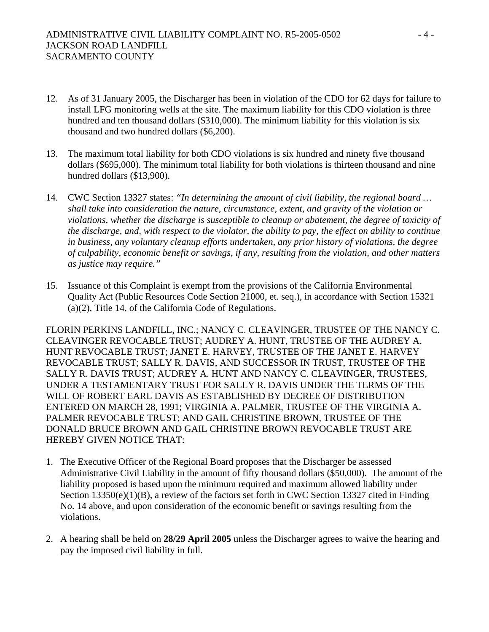- 12. As of 31 January 2005, the Discharger has been in violation of the CDO for 62 days for failure to install LFG monitoring wells at the site. The maximum liability for this CDO violation is three hundred and ten thousand dollars (\$310,000). The minimum liability for this violation is six thousand and two hundred dollars (\$6,200).
- 13. The maximum total liability for both CDO violations is six hundred and ninety five thousand dollars (\$695,000). The minimum total liability for both violations is thirteen thousand and nine hundred dollars (\$13,900).
- 14. CWC Section 13327 states: *"In determining the amount of civil liability, the regional board … shall take into consideration the nature, circumstance, extent, and gravity of the violation or violations, whether the discharge is susceptible to cleanup or abatement, the degree of toxicity of the discharge, and, with respect to the violator, the ability to pay, the effect on ability to continue in business, any voluntary cleanup efforts undertaken, any prior history of violations, the degree of culpability, economic benefit or savings, if any, resulting from the violation, and other matters as justice may require."*
- 15. Issuance of this Complaint is exempt from the provisions of the California Environmental Quality Act (Public Resources Code Section 21000, et. seq.), in accordance with Section 15321 (a)(2), Title 14, of the California Code of Regulations.

FLORIN PERKINS LANDFILL, INC.; NANCY C. CLEAVINGER, TRUSTEE OF THE NANCY C. CLEAVINGER REVOCABLE TRUST; AUDREY A. HUNT, TRUSTEE OF THE AUDREY A. HUNT REVOCABLE TRUST; JANET E. HARVEY, TRUSTEE OF THE JANET E. HARVEY REVOCABLE TRUST; SALLY R. DAVIS, AND SUCCESSOR IN TRUST, TRUSTEE OF THE SALLY R. DAVIS TRUST; AUDREY A. HUNT AND NANCY C. CLEAVINGER, TRUSTEES, UNDER A TESTAMENTARY TRUST FOR SALLY R. DAVIS UNDER THE TERMS OF THE WILL OF ROBERT EARL DAVIS AS ESTABLISHED BY DECREE OF DISTRIBUTION ENTERED ON MARCH 28, 1991; VIRGINIA A. PALMER, TRUSTEE OF THE VIRGINIA A. PALMER REVOCABLE TRUST; AND GAIL CHRISTINE BROWN, TRUSTEE OF THE DONALD BRUCE BROWN AND GAIL CHRISTINE BROWN REVOCABLE TRUST ARE HEREBY GIVEN NOTICE THAT:

- 1. The Executive Officer of the Regional Board proposes that the Discharger be assessed Administrative Civil Liability in the amount of fifty thousand dollars (\$50,000). The amount of the liability proposed is based upon the minimum required and maximum allowed liability under Section 13350(e)(1)(B), a review of the factors set forth in CWC Section 13327 cited in Finding No. 14 above, and upon consideration of the economic benefit or savings resulting from the violations.
- 2. A hearing shall be held on **28/29 April 2005** unless the Discharger agrees to waive the hearing and pay the imposed civil liability in full.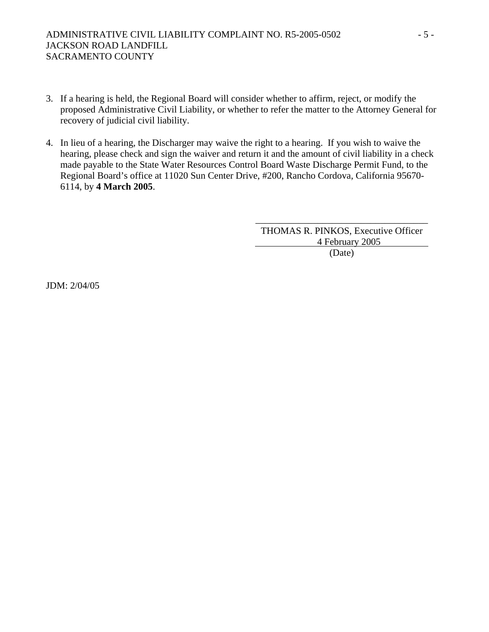- 3. If a hearing is held, the Regional Board will consider whether to affirm, reject, or modify the proposed Administrative Civil Liability, or whether to refer the matter to the Attorney General for recovery of judicial civil liability.
- 4. In lieu of a hearing, the Discharger may waive the right to a hearing. If you wish to waive the hearing, please check and sign the waiver and return it and the amount of civil liability in a check made payable to the State Water Resources Control Board Waste Discharge Permit Fund, to the Regional Board's office at 11020 Sun Center Drive, #200, Rancho Cordova, California 95670- 6114, by **4 March 2005**.

THOMAS R. PINKOS, Executive Officer 4 February 2005 (Date)

\_\_\_\_\_\_\_\_\_\_\_\_\_\_\_\_\_\_\_\_\_\_\_\_\_\_\_\_\_\_\_\_\_\_\_\_

JDM: 2/04/05